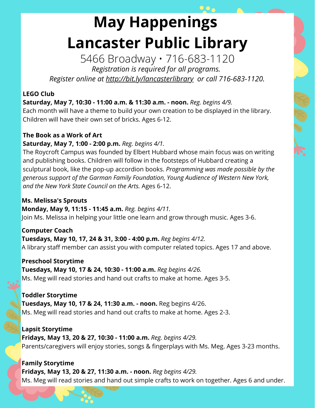# **May Happenings Lancaster Public Library**

5466 Broadway • 716-683-1120 *Registration is required for all programs. Register online at http://bit.ly/lancasterlibrary or call 716-683-1120.*

#### **LEGO Club**

**Saturday, May 7, 10:30 - 11:00 a.m. & 11:30 a.m. - noon.** *Reg. begins 4/9.* Each month will have a theme to build your own creation to be displayed in the library. Children will have their own set of bricks. Ages 6-12.

# **The Book as a Work of Art**

**Saturday, May 7, 1:00 - 2:00 p.m.** *Reg. begins 4/1.*

The Roycroft Campus was founded by Elbert Hubbard whose main focus was on writing and publishing books. Children will follow in the footsteps of Hubbard creating a sculptural book, like the pop-up accordion books. *Programming was made possible by the generous support of the Garman Family Foundation, Young Audience of Western New York, and the New York State Council on the Arts.* Ages 6-12.

# **Ms. Melissa's Sprouts**

# **Monday, May 9, 11:15 - 11:45 a.m.** *Reg. begins 4/11.*

Join Ms. Melissa in helping your little one learn and grow through music. Ages 3-6.

**Computer Coach Tuesdays, May 10, 17, 24 & 31, 3:00 - 4:00 p.m.** *Reg begins 4/12.* A library staff member can assist you with computer related topics. Ages 17 and above.

#### **Preschool Storytime**

**Tuesdays, May 10, 17 & 24, 10:30 - 11:00 a.m.** *Reg begins 4/26.* Ms. Meg will read stories and hand out crafts to make at home. Ages 3-5.

# **Toddler Storytime**

**Tuesdays, May 10, 17 & 24, 11:30 a.m. - noon.** Reg begins 4/26. Ms. Meg will read stories and hand out crafts to make at home. Ages 2-3.

**Lapsit Storytime Fridays, May 13, 20 & 27, 10:30 - 11:00 a.m.** *Reg. begins 4/29.* Parents/caregivers will enjoy stories, songs & fingerplays with Ms. Meg. Ages 3-23 months.

**Family Storytime Fridays, May 13, 20 & 27, 11:30 a.m. - noon.** *Reg begins 4/29.* Ms. Meg will read stories and hand out simple crafts to work on together. Ages 6 and under.